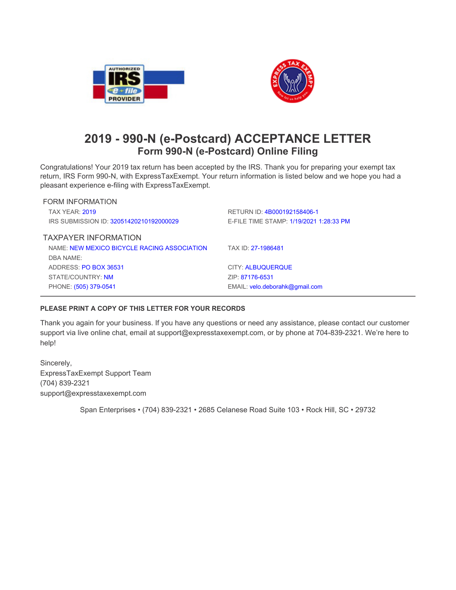



## **2019 - 990-N (e-Postcard) ACCEPTANCE LETTER Form 990-N (e-Postcard) Online Filing**

Congratulations! Your 2019 tax return has been accepted by the IRS. Thank you for preparing your exempt tax return, IRS Form 990-N, with ExpressTaxExempt. Your return information is listed below and we hope you had a **pleasant experience e-filing with ExpressTaxExempt.**

| RETURN ID: 4B000192158406-1             |
|-----------------------------------------|
| E-FILE TIME STAMP: 1/19/2021 1:28:33 PM |
|                                         |
| TAX ID: 27-1986481                      |
|                                         |
| <b>CITY: ALBUQUERQUE</b>                |
| ZIP: 87176-6531                         |
| EMAIL: velo.deborahk@gmail.com          |
|                                         |

## **PLEASE PRINT A COPY OF THIS LETTER FOR YOUR RECORDS**

Thank you again for your business. If you have any questions or need any assistance, please contact our customer **support via live online chat, email at support@expresstaxexempt.com, or by phone at 704-839-2321. We're here to help!**

**Sincerely, ExpressTaxExempt Support Team (704) 839-2321 support@expresstaxexempt.com**

**Span Enterprises • (704) 839-2321 • 2685 Celanese Road Suite 103 • Rock Hill, SC • 29732**